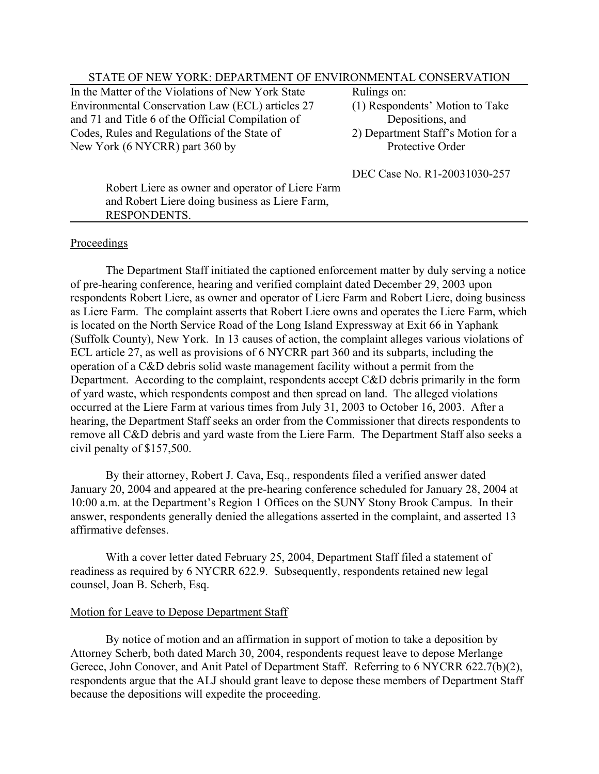## STATE OF NEW YORK: DEPARTMENT OF ENVIRONMENTAL CONSERVATION

In the Matter of the Violations of New York State Rulings on: Environmental Conservation Law (ECL) articles 27 (1) Respondents' Motion to Take and 71 and Title 6 of the Official Compilation of Depositions, and Codes, Rules and Regulations of the State of 2) Department Staff's Motion for a New York (6 NYCRR) part 360 by Protective Order

- 
- 

DEC Case No. R1-20031030-257

Robert Liere as owner and operator of Liere Farm and Robert Liere doing business as Liere Farm, RESPONDENTS.

## Proceedings

The Department Staff initiated the captioned enforcement matter by duly serving a notice of pre-hearing conference, hearing and verified complaint dated December 29, 2003 upon respondents Robert Liere, as owner and operator of Liere Farm and Robert Liere, doing business as Liere Farm. The complaint asserts that Robert Liere owns and operates the Liere Farm, which is located on the North Service Road of the Long Island Expressway at Exit 66 in Yaphank (Suffolk County), New York. In 13 causes of action, the complaint alleges various violations of ECL article 27, as well as provisions of 6 NYCRR part 360 and its subparts, including the operation of a C&D debris solid waste management facility without a permit from the Department. According to the complaint, respondents accept C&D debris primarily in the form of yard waste, which respondents compost and then spread on land. The alleged violations occurred at the Liere Farm at various times from July 31, 2003 to October 16, 2003. After a hearing, the Department Staff seeks an order from the Commissioner that directs respondents to remove all C&D debris and yard waste from the Liere Farm. The Department Staff also seeks a civil penalty of \$157,500.

By their attorney, Robert J. Cava, Esq., respondents filed a verified answer dated January 20, 2004 and appeared at the pre-hearing conference scheduled for January 28, 2004 at 10:00 a.m. at the Department's Region 1 Offices on the SUNY Stony Brook Campus. In their answer, respondents generally denied the allegations asserted in the complaint, and asserted 13 affirmative defenses.

With a cover letter dated February 25, 2004, Department Staff filed a statement of readiness as required by 6 NYCRR 622.9. Subsequently, respondents retained new legal counsel, Joan B. Scherb, Esq.

## Motion for Leave to Depose Department Staff

By notice of motion and an affirmation in support of motion to take a deposition by Attorney Scherb, both dated March 30, 2004, respondents request leave to depose Merlange Gerece, John Conover, and Anit Patel of Department Staff. Referring to 6 NYCRR 622.7(b)(2), respondents argue that the ALJ should grant leave to depose these members of Department Staff because the depositions will expedite the proceeding.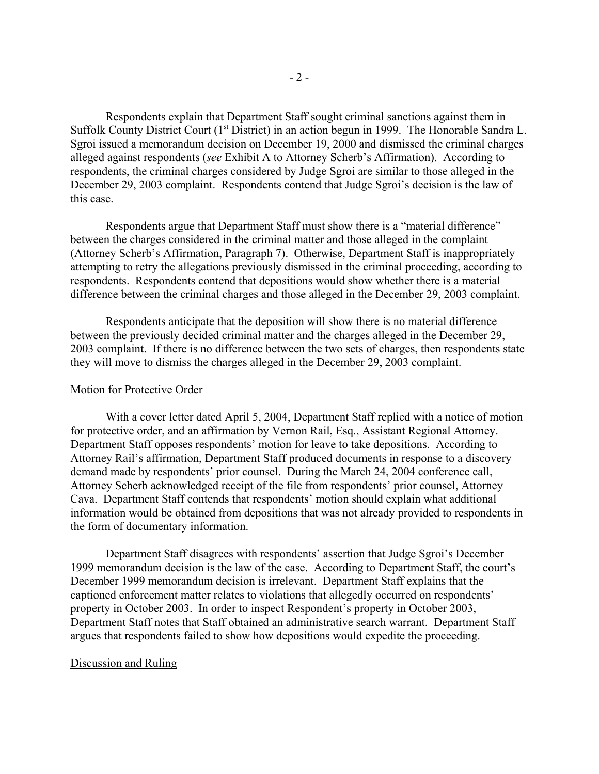Respondents explain that Department Staff sought criminal sanctions against them in Suffolk County District Court (1<sup>st</sup> District) in an action begun in 1999. The Honorable Sandra L. Sgroi issued a memorandum decision on December 19, 2000 and dismissed the criminal charges alleged against respondents (*see* Exhibit A to Attorney Scherb's Affirmation). According to respondents, the criminal charges considered by Judge Sgroi are similar to those alleged in the December 29, 2003 complaint. Respondents contend that Judge Sgroi's decision is the law of this case.

Respondents argue that Department Staff must show there is a "material difference" between the charges considered in the criminal matter and those alleged in the complaint (Attorney Scherb's Affirmation, Paragraph 7). Otherwise, Department Staff is inappropriately attempting to retry the allegations previously dismissed in the criminal proceeding, according to respondents. Respondents contend that depositions would show whether there is a material difference between the criminal charges and those alleged in the December 29, 2003 complaint.

Respondents anticipate that the deposition will show there is no material difference between the previously decided criminal matter and the charges alleged in the December 29, 2003 complaint. If there is no difference between the two sets of charges, then respondents state they will move to dismiss the charges alleged in the December 29, 2003 complaint.

#### Motion for Protective Order

With a cover letter dated April 5, 2004, Department Staff replied with a notice of motion for protective order, and an affirmation by Vernon Rail, Esq., Assistant Regional Attorney. Department Staff opposes respondents' motion for leave to take depositions. According to Attorney Rail's affirmation, Department Staff produced documents in response to a discovery demand made by respondents' prior counsel. During the March 24, 2004 conference call, Attorney Scherb acknowledged receipt of the file from respondents' prior counsel, Attorney Cava. Department Staff contends that respondents' motion should explain what additional information would be obtained from depositions that was not already provided to respondents in the form of documentary information.

Department Staff disagrees with respondents' assertion that Judge Sgroi's December 1999 memorandum decision is the law of the case. According to Department Staff, the court's December 1999 memorandum decision is irrelevant. Department Staff explains that the captioned enforcement matter relates to violations that allegedly occurred on respondents' property in October 2003. In order to inspect Respondent's property in October 2003, Department Staff notes that Staff obtained an administrative search warrant. Department Staff argues that respondents failed to show how depositions would expedite the proceeding.

### Discussion and Ruling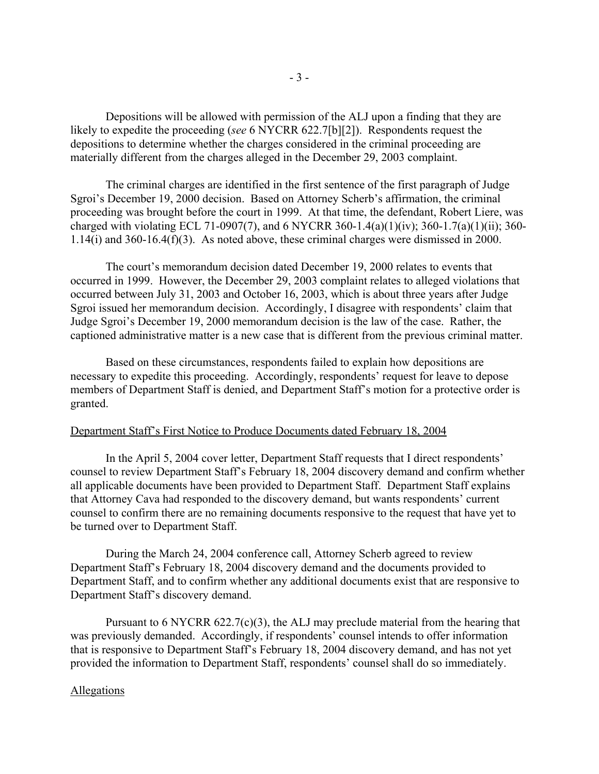Depositions will be allowed with permission of the ALJ upon a finding that they are likely to expedite the proceeding (*see* 6 NYCRR 622.7[b][2]). Respondents request the depositions to determine whether the charges considered in the criminal proceeding are materially different from the charges alleged in the December 29, 2003 complaint.

The criminal charges are identified in the first sentence of the first paragraph of Judge Sgroi's December 19, 2000 decision. Based on Attorney Scherb's affirmation, the criminal proceeding was brought before the court in 1999. At that time, the defendant, Robert Liere, was charged with violating ECL 71-0907(7), and 6 NYCRR 360-1.4(a)(1)(iv); 360-1.7(a)(1)(ii); 360- 1.14(i) and 360-16.4(f)(3). As noted above, these criminal charges were dismissed in 2000.

The court's memorandum decision dated December 19, 2000 relates to events that occurred in 1999. However, the December 29, 2003 complaint relates to alleged violations that occurred between July 31, 2003 and October 16, 2003, which is about three years after Judge Sgroi issued her memorandum decision. Accordingly, I disagree with respondents' claim that Judge Sgroi's December 19, 2000 memorandum decision is the law of the case. Rather, the captioned administrative matter is a new case that is different from the previous criminal matter.

Based on these circumstances, respondents failed to explain how depositions are necessary to expedite this proceeding. Accordingly, respondents' request for leave to depose members of Department Staff is denied, and Department Staff's motion for a protective order is granted.

# Department Staff's First Notice to Produce Documents dated February 18, 2004

In the April 5, 2004 cover letter, Department Staff requests that I direct respondents' counsel to review Department Staff's February 18, 2004 discovery demand and confirm whether all applicable documents have been provided to Department Staff. Department Staff explains that Attorney Cava had responded to the discovery demand, but wants respondents' current counsel to confirm there are no remaining documents responsive to the request that have yet to be turned over to Department Staff.

During the March 24, 2004 conference call, Attorney Scherb agreed to review Department Staff's February 18, 2004 discovery demand and the documents provided to Department Staff, and to confirm whether any additional documents exist that are responsive to Department Staff's discovery demand.

Pursuant to 6 NYCRR 622.7(c)(3), the ALJ may preclude material from the hearing that was previously demanded. Accordingly, if respondents' counsel intends to offer information that is responsive to Department Staff's February 18, 2004 discovery demand, and has not yet provided the information to Department Staff, respondents' counsel shall do so immediately.

#### Allegations